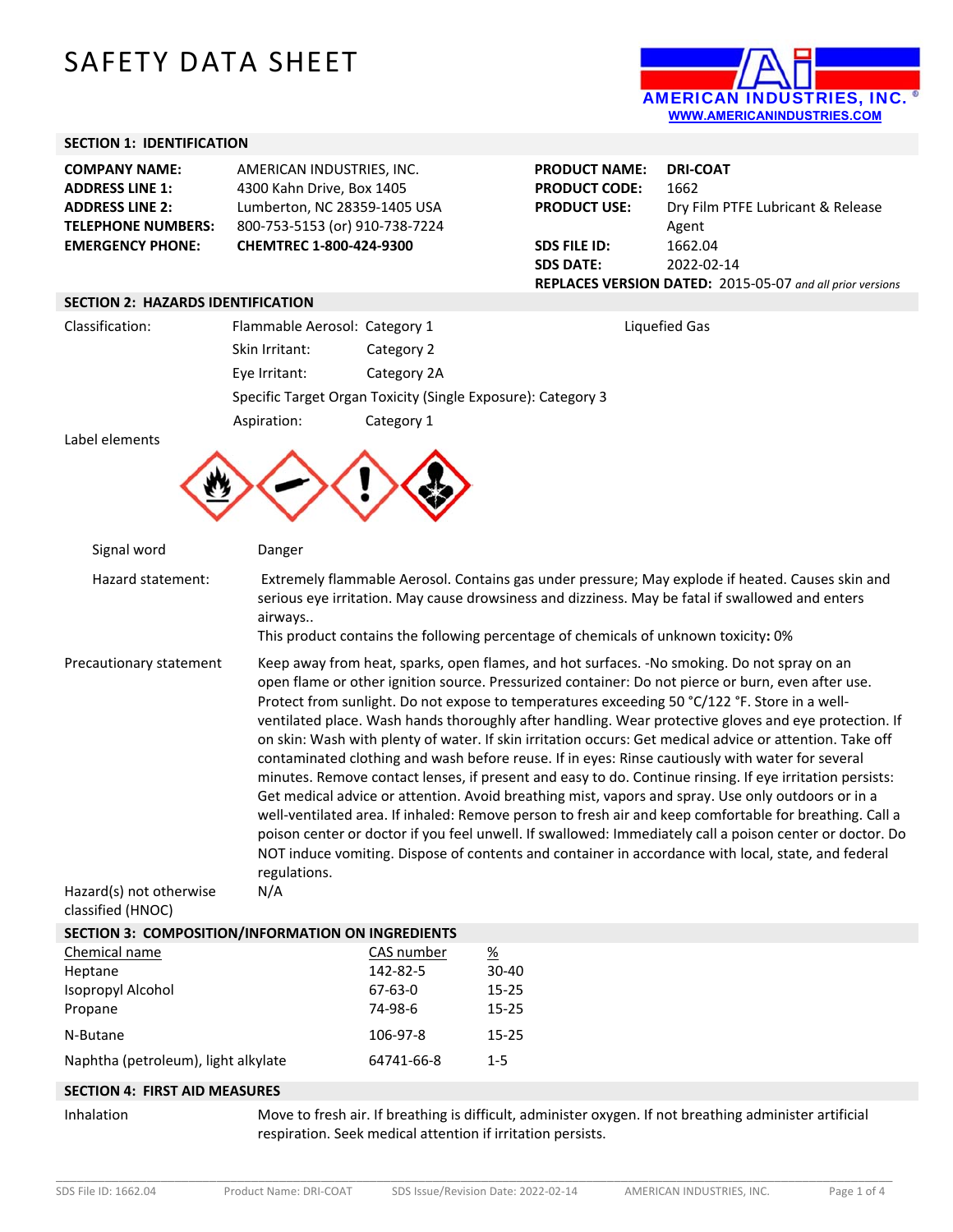# SAFETY DATA SHEET



# **SECTION 1: IDENTIFICATION**

| <b>COMPANY NAME:</b>                     | AMERICAN INDUSTRIES, INC.      | <b>PRODUCT NAME:</b> | <b>DRI-COAT</b>                                           |
|------------------------------------------|--------------------------------|----------------------|-----------------------------------------------------------|
| <b>ADDRESS LINE 1:</b>                   | 4300 Kahn Drive, Box 1405      | <b>PRODUCT CODE:</b> | 1662                                                      |
| <b>ADDRESS LINE 2:</b>                   | Lumberton, NC 28359-1405 USA   | <b>PRODUCT USE:</b>  | Dry Film PTFE Lubricant & Release                         |
| <b>TELEPHONE NUMBERS:</b>                | 800-753-5153 (or) 910-738-7224 |                      | Agent                                                     |
| <b>EMERGENCY PHONE:</b>                  | CHEMTREC 1-800-424-9300        | SDS FILE ID:         | 1662.04                                                   |
|                                          |                                | <b>SDS DATE:</b>     | 2022-02-14                                                |
|                                          |                                |                      | REPLACES VERSION DATED: 2015-05-07 and all prior versions |
| <b>SECTION 2: HAZARDS IDENTIFICATION</b> |                                |                      |                                                           |
|                                          |                                |                      |                                                           |

| Classification: | Flammable Aerosol: Category 1                                |             | Liquefied Gas |
|-----------------|--------------------------------------------------------------|-------------|---------------|
|                 | Skin Irritant:                                               | Category 2  |               |
|                 | Eye Irritant:                                                | Category 2A |               |
|                 | Specific Target Organ Toxicity (Single Exposure): Category 3 |             |               |
|                 | Aspiration:                                                  | Category 1  |               |
| عغموموماه امطوا |                                                              |             |               |

Label elements



| Signal word                                                             | Danger                                                                                                                                                                                                                                                                                                                                                                                                                                                                                                                                                                                                                                                                                                                                                                                                                                                                                                                                                                                                                                                                                                                                                                                             |
|-------------------------------------------------------------------------|----------------------------------------------------------------------------------------------------------------------------------------------------------------------------------------------------------------------------------------------------------------------------------------------------------------------------------------------------------------------------------------------------------------------------------------------------------------------------------------------------------------------------------------------------------------------------------------------------------------------------------------------------------------------------------------------------------------------------------------------------------------------------------------------------------------------------------------------------------------------------------------------------------------------------------------------------------------------------------------------------------------------------------------------------------------------------------------------------------------------------------------------------------------------------------------------------|
| Hazard statement:                                                       | Extremely flammable Aerosol. Contains gas under pressure; May explode if heated. Causes skin and<br>serious eye irritation. May cause drowsiness and dizziness. May be fatal if swallowed and enters<br>airways<br>This product contains the following percentage of chemicals of unknown toxicity: 0%                                                                                                                                                                                                                                                                                                                                                                                                                                                                                                                                                                                                                                                                                                                                                                                                                                                                                             |
| Precautionary statement<br>Hazard(s) not otherwise<br>classified (HNOC) | Keep away from heat, sparks, open flames, and hot surfaces. -No smoking. Do not spray on an<br>open flame or other ignition source. Pressurized container: Do not pierce or burn, even after use.<br>Protect from sunlight. Do not expose to temperatures exceeding 50 °C/122 °F. Store in a well-<br>ventilated place. Wash hands thoroughly after handling. Wear protective gloves and eye protection. If<br>on skin: Wash with plenty of water. If skin irritation occurs: Get medical advice or attention. Take off<br>contaminated clothing and wash before reuse. If in eyes: Rinse cautiously with water for several<br>minutes. Remove contact lenses, if present and easy to do. Continue rinsing. If eye irritation persists:<br>Get medical advice or attention. Avoid breathing mist, vapors and spray. Use only outdoors or in a<br>well-ventilated area. If inhaled: Remove person to fresh air and keep comfortable for breathing. Call a<br>poison center or doctor if you feel unwell. If swallowed: Immediately call a poison center or doctor. Do<br>NOT induce vomiting. Dispose of contents and container in accordance with local, state, and federal<br>regulations.<br>N/A |
|                                                                         | SECTION 3: COMPOSITION/INFORMATION ON INGREDIENTS                                                                                                                                                                                                                                                                                                                                                                                                                                                                                                                                                                                                                                                                                                                                                                                                                                                                                                                                                                                                                                                                                                                                                  |
|                                                                         |                                                                                                                                                                                                                                                                                                                                                                                                                                                                                                                                                                                                                                                                                                                                                                                                                                                                                                                                                                                                                                                                                                                                                                                                    |

| Chemical name                       | CAS number | <u>%</u>  |
|-------------------------------------|------------|-----------|
| Heptane                             | 142-82-5   | $30-40$   |
| Isopropyl Alcohol                   | 67-63-0    | $15 - 25$ |
| Propane                             | 74-98-6    | $15 - 25$ |
| N-Butane                            | 106-97-8   | $15 - 25$ |
| Naphtha (petroleum), light alkylate | 64741-66-8 | $1 - 5$   |

## **SECTION 4: FIRST AID MEASURES**

Inhalation Move to fresh air. If breathing is difficult, administer oxygen. If not breathing administer artificial respiration. Seek medical attention if irritation persists.

\_\_\_\_\_\_\_\_\_\_\_\_\_\_\_\_\_\_\_\_\_\_\_\_\_\_\_\_\_\_\_\_\_\_\_\_\_\_\_\_\_\_\_\_\_\_\_\_\_\_\_\_\_\_\_\_\_\_\_\_\_\_\_\_\_\_\_\_\_\_\_\_\_\_\_\_\_\_\_\_\_\_\_\_\_\_\_\_\_\_\_\_\_\_\_\_\_\_\_\_\_\_\_\_\_\_\_\_\_\_\_\_\_\_\_\_\_\_\_\_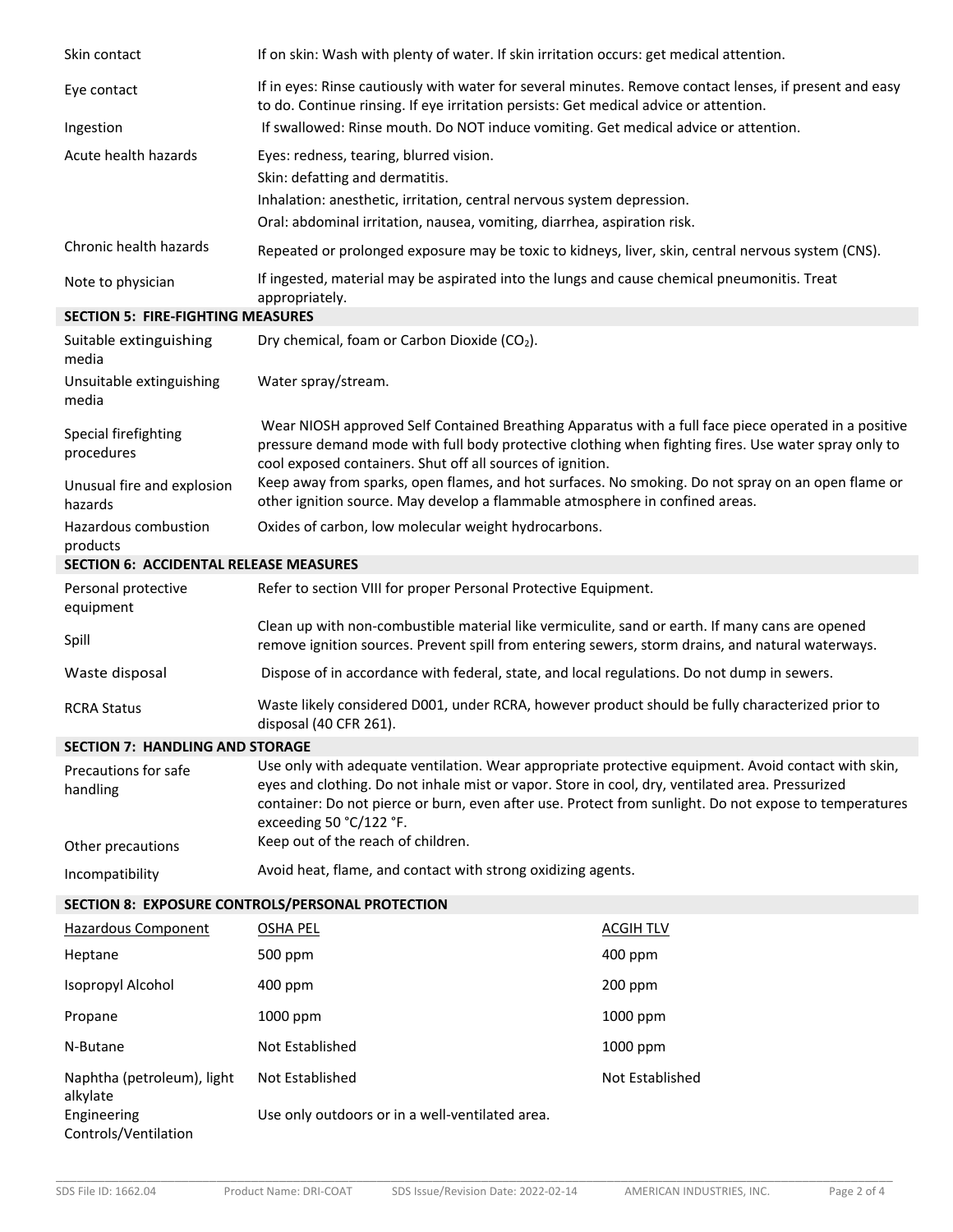| Skin contact                                  | If on skin: Wash with plenty of water. If skin irritation occurs: get medical attention.                                                                                                                                                                                                                                                     |                  |  |
|-----------------------------------------------|----------------------------------------------------------------------------------------------------------------------------------------------------------------------------------------------------------------------------------------------------------------------------------------------------------------------------------------------|------------------|--|
| Eye contact                                   | If in eyes: Rinse cautiously with water for several minutes. Remove contact lenses, if present and easy<br>to do. Continue rinsing. If eye irritation persists: Get medical advice or attention.                                                                                                                                             |                  |  |
| Ingestion                                     | If swallowed: Rinse mouth. Do NOT induce vomiting. Get medical advice or attention.                                                                                                                                                                                                                                                          |                  |  |
| Acute health hazards                          | Eyes: redness, tearing, blurred vision.                                                                                                                                                                                                                                                                                                      |                  |  |
|                                               | Skin: defatting and dermatitis.                                                                                                                                                                                                                                                                                                              |                  |  |
|                                               | Inhalation: anesthetic, irritation, central nervous system depression.                                                                                                                                                                                                                                                                       |                  |  |
|                                               | Oral: abdominal irritation, nausea, vomiting, diarrhea, aspiration risk.                                                                                                                                                                                                                                                                     |                  |  |
| Chronic health hazards                        | Repeated or prolonged exposure may be toxic to kidneys, liver, skin, central nervous system (CNS).                                                                                                                                                                                                                                           |                  |  |
| Note to physician                             | If ingested, material may be aspirated into the lungs and cause chemical pneumonitis. Treat<br>appropriately.                                                                                                                                                                                                                                |                  |  |
| <b>SECTION 5: FIRE-FIGHTING MEASURES</b>      |                                                                                                                                                                                                                                                                                                                                              |                  |  |
| Suitable extinguishing<br>media               | Dry chemical, foam or Carbon Dioxide (CO2).                                                                                                                                                                                                                                                                                                  |                  |  |
| Unsuitable extinguishing<br>media             | Water spray/stream.                                                                                                                                                                                                                                                                                                                          |                  |  |
| Special firefighting<br>procedures            | Wear NIOSH approved Self Contained Breathing Apparatus with a full face piece operated in a positive<br>pressure demand mode with full body protective clothing when fighting fires. Use water spray only to<br>cool exposed containers. Shut off all sources of ignition.                                                                   |                  |  |
| Unusual fire and explosion<br>hazards         | Keep away from sparks, open flames, and hot surfaces. No smoking. Do not spray on an open flame or<br>other ignition source. May develop a flammable atmosphere in confined areas.                                                                                                                                                           |                  |  |
| Hazardous combustion<br>products              | Oxides of carbon, low molecular weight hydrocarbons.                                                                                                                                                                                                                                                                                         |                  |  |
| <b>SECTION 6: ACCIDENTAL RELEASE MEASURES</b> |                                                                                                                                                                                                                                                                                                                                              |                  |  |
| Personal protective<br>equipment              | Refer to section VIII for proper Personal Protective Equipment.                                                                                                                                                                                                                                                                              |                  |  |
| Spill                                         | Clean up with non-combustible material like vermiculite, sand or earth. If many cans are opened<br>remove ignition sources. Prevent spill from entering sewers, storm drains, and natural waterways.                                                                                                                                         |                  |  |
| Waste disposal                                | Dispose of in accordance with federal, state, and local regulations. Do not dump in sewers.                                                                                                                                                                                                                                                  |                  |  |
| <b>RCRA Status</b>                            | Waste likely considered D001, under RCRA, however product should be fully characterized prior to<br>disposal (40 CFR 261).                                                                                                                                                                                                                   |                  |  |
| <b>SECTION 7: HANDLING AND STORAGE</b>        |                                                                                                                                                                                                                                                                                                                                              |                  |  |
| Precautions for safe<br>handling              | Use only with adequate ventilation. Wear appropriate protective equipment. Avoid contact with skin,<br>eyes and clothing. Do not inhale mist or vapor. Store in cool, dry, ventilated area. Pressurized<br>container: Do not pierce or burn, even after use. Protect from sunlight. Do not expose to temperatures<br>exceeding 50 °C/122 °F. |                  |  |
| Other precautions                             | Keep out of the reach of children.                                                                                                                                                                                                                                                                                                           |                  |  |
| Incompatibility                               | Avoid heat, flame, and contact with strong oxidizing agents.                                                                                                                                                                                                                                                                                 |                  |  |
|                                               | SECTION 8: EXPOSURE CONTROLS/PERSONAL PROTECTION                                                                                                                                                                                                                                                                                             |                  |  |
| <b>Hazardous Component</b>                    | <b>OSHA PEL</b>                                                                                                                                                                                                                                                                                                                              | <b>ACGIH TLV</b> |  |
| Heptane                                       | 500 ppm                                                                                                                                                                                                                                                                                                                                      | 400 ppm          |  |
| Isopropyl Alcohol                             | 400 ppm                                                                                                                                                                                                                                                                                                                                      | 200 ppm          |  |
| Propane                                       | 1000 ppm                                                                                                                                                                                                                                                                                                                                     | 1000 ppm         |  |
| N-Butane                                      | Not Established                                                                                                                                                                                                                                                                                                                              | 1000 ppm         |  |
| Naphtha (petroleum), light<br>alkylate        | Not Established                                                                                                                                                                                                                                                                                                                              | Not Established  |  |
| Engineering<br>Controls/Ventilation           | Use only outdoors or in a well-ventilated area.                                                                                                                                                                                                                                                                                              |                  |  |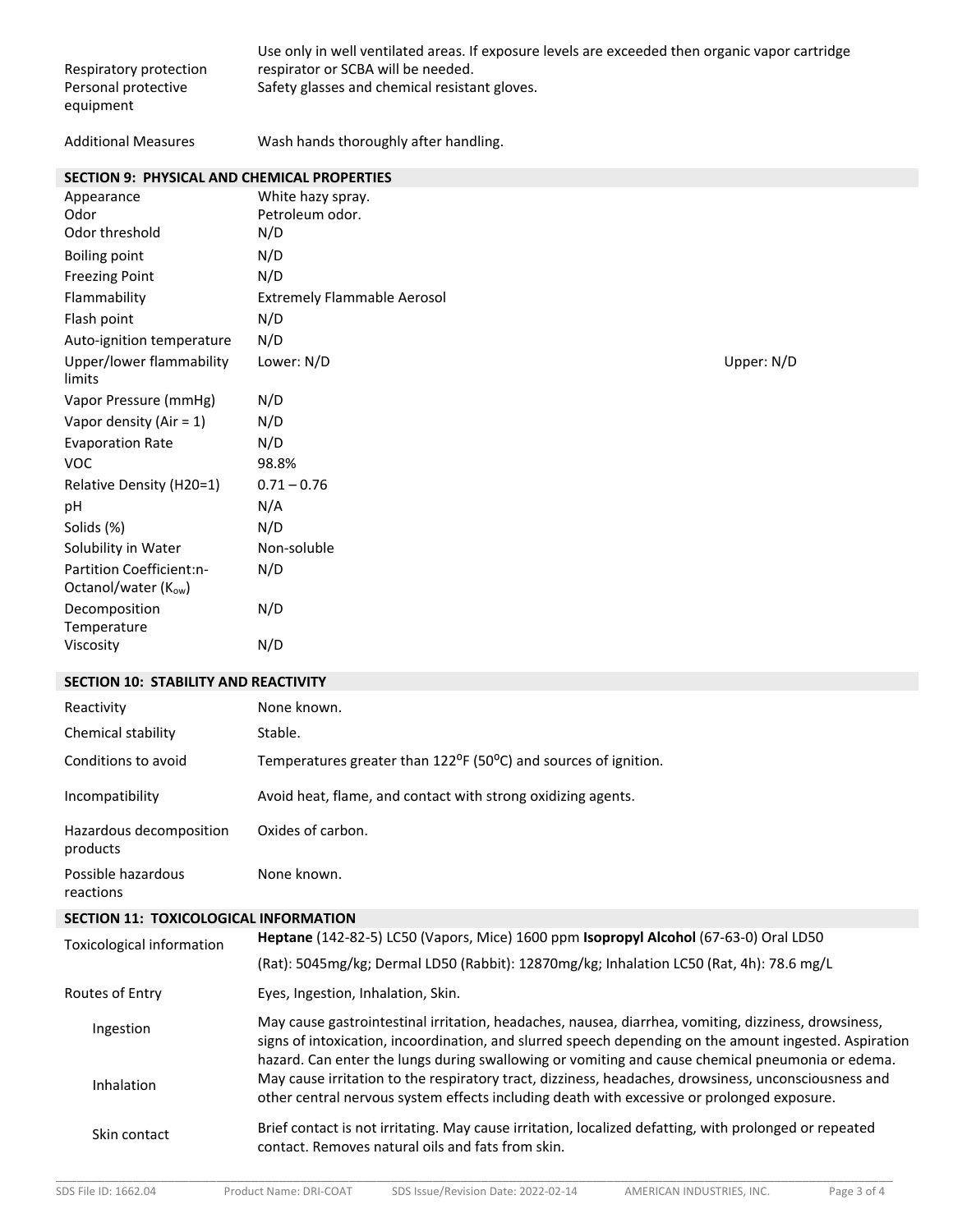| Respiratory protection<br>Personal protective<br>equipment | Use only in well ventilated areas. If exposure levels are exceeded then organic vapor cartridge<br>respirator or SCBA will be needed.<br>Safety glasses and chemical resistant gloves.                                                                                                                             |  |
|------------------------------------------------------------|--------------------------------------------------------------------------------------------------------------------------------------------------------------------------------------------------------------------------------------------------------------------------------------------------------------------|--|
| <b>Additional Measures</b>                                 | Wash hands thoroughly after handling.                                                                                                                                                                                                                                                                              |  |
| SECTION 9: PHYSICAL AND CHEMICAL PROPERTIES                |                                                                                                                                                                                                                                                                                                                    |  |
| Appearance                                                 | White hazy spray.                                                                                                                                                                                                                                                                                                  |  |
| Odor<br>Odor threshold                                     | Petroleum odor.<br>N/D                                                                                                                                                                                                                                                                                             |  |
| <b>Boiling point</b>                                       | N/D                                                                                                                                                                                                                                                                                                                |  |
| <b>Freezing Point</b>                                      | N/D                                                                                                                                                                                                                                                                                                                |  |
| Flammability                                               | <b>Extremely Flammable Aerosol</b>                                                                                                                                                                                                                                                                                 |  |
| Flash point                                                | N/D                                                                                                                                                                                                                                                                                                                |  |
| Auto-ignition temperature                                  | N/D                                                                                                                                                                                                                                                                                                                |  |
| Upper/lower flammability<br>limits                         | Lower: N/D<br>Upper: N/D                                                                                                                                                                                                                                                                                           |  |
| Vapor Pressure (mmHg)                                      | N/D                                                                                                                                                                                                                                                                                                                |  |
| Vapor density (Air = $1$ )                                 | N/D                                                                                                                                                                                                                                                                                                                |  |
| <b>Evaporation Rate</b>                                    | N/D                                                                                                                                                                                                                                                                                                                |  |
| <b>VOC</b>                                                 | 98.8%                                                                                                                                                                                                                                                                                                              |  |
| Relative Density (H20=1)                                   | $0.71 - 0.76$                                                                                                                                                                                                                                                                                                      |  |
| pH                                                         | N/A                                                                                                                                                                                                                                                                                                                |  |
| Solids (%)                                                 | N/D                                                                                                                                                                                                                                                                                                                |  |
| Solubility in Water                                        | Non-soluble                                                                                                                                                                                                                                                                                                        |  |
| Partition Coefficient:n-<br>Octanol/water (Kow)            | N/D                                                                                                                                                                                                                                                                                                                |  |
| Decomposition<br>Temperature                               | N/D                                                                                                                                                                                                                                                                                                                |  |
| Viscosity                                                  | N/D                                                                                                                                                                                                                                                                                                                |  |
| <b>SECTION 10: STABILITY AND REACTIVITY</b>                |                                                                                                                                                                                                                                                                                                                    |  |
| Reactivity                                                 | None known.                                                                                                                                                                                                                                                                                                        |  |
| Chemical stability                                         | Stable.                                                                                                                                                                                                                                                                                                            |  |
| Conditions to avoid                                        | Temperatures greater than 122 <sup>o</sup> F (50 <sup>o</sup> C) and sources of ignition.                                                                                                                                                                                                                          |  |
| Incompatibility                                            | Avoid heat, flame, and contact with strong oxidizing agents.                                                                                                                                                                                                                                                       |  |
| Hazardous decomposition<br>products                        | Oxides of carbon.                                                                                                                                                                                                                                                                                                  |  |
| Possible hazardous<br>reactions                            | None known.                                                                                                                                                                                                                                                                                                        |  |
| SECTION 11: TOXICOLOGICAL INFORMATION                      |                                                                                                                                                                                                                                                                                                                    |  |
| Toxicological information                                  | Heptane (142-82-5) LC50 (Vapors, Mice) 1600 ppm Isopropyl Alcohol (67-63-0) Oral LD50                                                                                                                                                                                                                              |  |
|                                                            | (Rat): 5045mg/kg; Dermal LD50 (Rabbit): 12870mg/kg; Inhalation LC50 (Rat, 4h): 78.6 mg/L                                                                                                                                                                                                                           |  |
| Routes of Entry                                            | Eyes, Ingestion, Inhalation, Skin.                                                                                                                                                                                                                                                                                 |  |
| Ingestion                                                  | May cause gastrointestinal irritation, headaches, nausea, diarrhea, vomiting, dizziness, drowsiness,<br>signs of intoxication, incoordination, and slurred speech depending on the amount ingested. Aspiration<br>hazard. Can enter the lungs during swallowing or vomiting and cause chemical pneumonia or edema. |  |
| Inhalation                                                 | May cause irritation to the respiratory tract, dizziness, headaches, drowsiness, unconsciousness and<br>other central nervous system effects including death with excessive or prolonged exposure.                                                                                                                 |  |
| Skin contact                                               | Brief contact is not irritating. May cause irritation, localized defatting, with prolonged or repeated<br>contact. Removes natural oils and fats from skin.                                                                                                                                                        |  |

\_\_\_\_\_\_\_\_\_\_\_\_\_\_\_\_\_\_\_\_\_\_\_\_\_\_\_\_\_\_\_\_\_\_\_\_\_\_\_\_\_\_\_\_\_\_\_\_\_\_\_\_\_\_\_\_\_\_\_\_\_\_\_\_\_\_\_\_\_\_\_\_\_\_\_\_\_\_\_\_\_\_\_\_\_\_\_\_\_\_\_\_\_\_\_\_\_\_\_\_\_\_\_\_\_\_\_\_\_\_\_\_\_\_\_\_\_\_\_\_